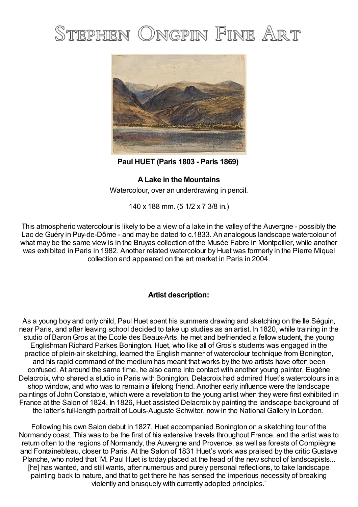## STEPHEN ONGPIN FINE ART



**Paul HUET (Paris 1803 - Paris 1869)**

## **ALake in the Mountains**

Watercolour, over an underdrawing in pencil.

140 x 188 mm. (5 1/2 x 7 3/8 in.)

This atmospheric watercolour is likely to be a view of a lake in the valley of the Auvergne - possibly the Lac de Guéry in Puy-de-Dôme - and may be dated to c.1833. An analogous landscape watercolour of what may be the same view is in the Bruyas collection of the Musée Fabre in Montpellier, while another was exhibited in Paris in 1982. Another related watercolour by Huet was formerly in the Pierre Miquel collection and appeared on the art market in Paris in 2004.

## **Artist description:**

As a young boy and only child, Paul Huet spent his summers drawing and sketching on the Ile Séguin, near Paris, and after leaving school decided to take up studies as an artist. In 1820, while training in the studio of Baron Gros at the Ecole des Beaux-Arts, he met and befriended a fellow student, the young Englishman Richard Parkes Bonington. Huet, who like all of Gros's students was engaged in the practice of plein-air sketching, learned the English manner of watercolour technique from Bonington, and his rapid command of the medium has meant that works by the two artists have often been confused. At around the same time, he also came into contact with another young painter, Eugène Delacroix, who shared a studio in Paris with Bonington. Delacroix had admired Huet's watercolours in a shop window, and who was to remain a lifelong friend. Another early influence were the landscape paintings of John Constable, which were a revelation to the young artist when they were first exhibited in France at the Salon of 1824. In 1826, Huet assisted Delacroix by painting the landscape background of the latter's full-length portrait of Louis-Auguste Schwiter, now in the National Gallery in London.

Following his own Salon debut in 1827, Huet accompanied Bonington on a sketching tour of the Normandy coast. This was to be the first of his extensive travels throughout France, and the artist was to return often to the regions of Normandy, the Auvergne and Provence, as well as forests of Compiègne and Fontainebleau, closer to Paris. At the Salon of 1831 Huet's work was praised by the critic Gustave Planche, who noted that 'M. Paul Huet is today placed at the head of the new school of landscapists... [he] has wanted, and still wants, after numerous and purely personal reflections, to take landscape painting back to nature, and that to get there he has sensed the imperious necessity of breaking violently and brusquely with currently adopted principles.'